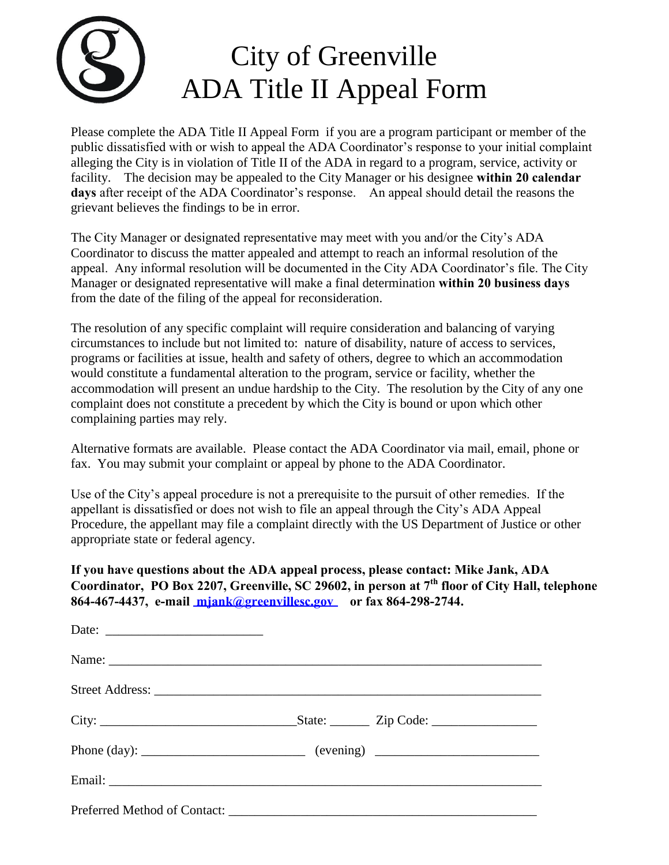

 facility. The decision may be appealed to the City Manager or his designee **within 20 calendar**  Please complete the ADA Title II Appeal Form if you are a program participant or member of the public dissatisfied with or wish to appeal the ADA Coordinator's response to your initial complaint alleging the City is in violation of Title II of the ADA in regard to a program, service, activity or **days** after receipt of the ADA Coordinator's response. An appeal should detail the reasons the grievant believes the findings to be in error.

The City Manager or designated representative may meet with you and/or the City's ADA Coordinator to discuss the matter appealed and attempt to reach an informal resolution of the appeal. Any informal resolution will be documented in the City ADA Coordinator's file. The City Manager or designated representative will make a final determination **within 20 business days** from the date of the filing of the appeal for reconsideration.

The resolution of any specific complaint will require consideration and balancing of varying circumstances to include but not limited to: nature of disability, nature of access to services, programs or facilities at issue, health and safety of others, degree to which an accommodation would constitute a fundamental alteration to the program, service or facility, whether the accommodation will present an undue hardship to the City. The resolution by the City of any one complaint does not constitute a precedent by which the City is bound or upon which other complaining parties may rely.

Alternative formats are available. Please contact the ADA Coordinator via mail, email, phone or fax. You may submit your complaint or appeal by phone to the ADA Coordinator.

Use of the City's appeal procedure is not a prerequisite to the pursuit of other remedies. If the appellant is dissatisfied or does not wish to file an appeal through the City's ADA Appeal Procedure, the appellant may file a complaint directly with the US Department of Justice or other appropriate state or federal agency.

**If you have questions about the ADA appeal process, please contact: Mike Jank, ADA Coordinator, PO Box 2207, Greenville, SC 29602, in person at 7th floor of City Hall, telephone 864-467-4437, e-mail mjank[@greenvillesc.gov](mailto:mjank@greenvillesc.gov) or fax 864-298-2744.**